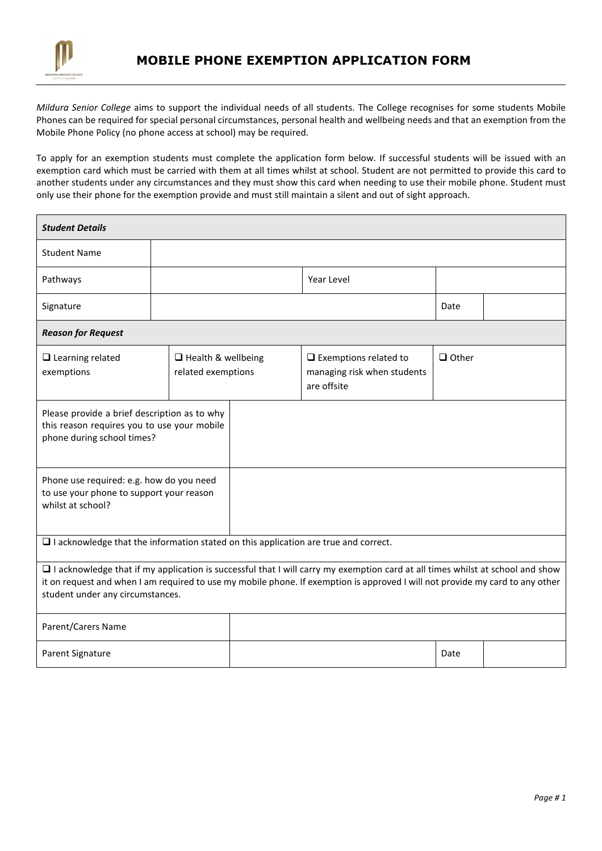

Mildura Senior College aims to support the individual needs of all students. The College recognises for some students Mobile Phones can be required for special personal circumstances, personal health and wellbeing needs and that an exemption from the Mobile Phone Policy (no phone access at school) may be required.

To apply for an exemption students must complete the application form below. If successful students will be issued with an exemption card which must be carried with them at all times whilst at school. Student are not permitted to provide this card to another students under any circumstances and they must show this card when needing to use their mobile phone. Student must only use their phone for the exemption provide and must still maintain a silent and out of sight approach.

| <b>Student Details</b>                                                                                                                                                                                                                                                                                    |  |                                                 |  |                                                                            |              |  |  |  |  |  |  |
|-----------------------------------------------------------------------------------------------------------------------------------------------------------------------------------------------------------------------------------------------------------------------------------------------------------|--|-------------------------------------------------|--|----------------------------------------------------------------------------|--------------|--|--|--|--|--|--|
| <b>Student Name</b>                                                                                                                                                                                                                                                                                       |  |                                                 |  |                                                                            |              |  |  |  |  |  |  |
| Pathways                                                                                                                                                                                                                                                                                                  |  |                                                 |  | Year Level                                                                 |              |  |  |  |  |  |  |
| Signature                                                                                                                                                                                                                                                                                                 |  |                                                 |  |                                                                            | Date         |  |  |  |  |  |  |
| <b>Reason for Request</b>                                                                                                                                                                                                                                                                                 |  |                                                 |  |                                                                            |              |  |  |  |  |  |  |
| $\Box$ Learning related<br>exemptions                                                                                                                                                                                                                                                                     |  | $\Box$ Health & wellbeing<br>related exemptions |  | $\Box$ Exemptions related to<br>managing risk when students<br>are offsite | $\Box$ Other |  |  |  |  |  |  |
| Please provide a brief description as to why<br>this reason requires you to use your mobile<br>phone during school times?                                                                                                                                                                                 |  |                                                 |  |                                                                            |              |  |  |  |  |  |  |
| Phone use required: e.g. how do you need<br>to use your phone to support your reason<br>whilst at school?                                                                                                                                                                                                 |  |                                                 |  |                                                                            |              |  |  |  |  |  |  |
| $\square$ I acknowledge that the information stated on this application are true and correct.                                                                                                                                                                                                             |  |                                                 |  |                                                                            |              |  |  |  |  |  |  |
| $\Box$ I acknowledge that if my application is successful that I will carry my exemption card at all times whilst at school and show<br>it on request and when I am required to use my mobile phone. If exemption is approved I will not provide my card to any other<br>student under any circumstances. |  |                                                 |  |                                                                            |              |  |  |  |  |  |  |
| Parent/Carers Name                                                                                                                                                                                                                                                                                        |  |                                                 |  |                                                                            |              |  |  |  |  |  |  |
| Parent Signature                                                                                                                                                                                                                                                                                          |  |                                                 |  |                                                                            | Date         |  |  |  |  |  |  |